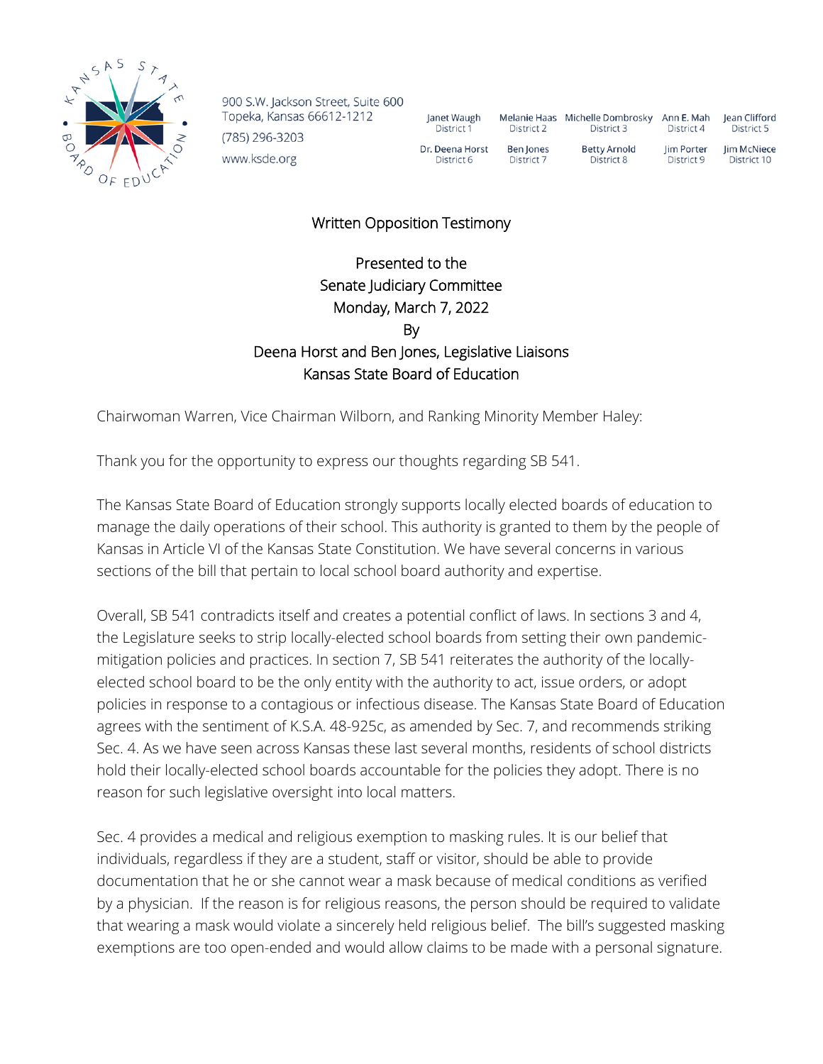

900 S.W. Jackson Street, Suite 600 Topeka, Kansas 66612-1212 (785) 296-3203 www.ksde.org

| Janet Waugh     | <b>Melanie Haas</b> | Michelle Dombrosky  | Ann E. Mah | lean Clifford |
|-----------------|---------------------|---------------------|------------|---------------|
| District 1      | District 2          | District 3          | District 4 | District 5    |
| Dr. Deena Horst | Ben Jones           | <b>Betty Arnold</b> | lim Porter | Jim McNiece   |
| District 6      | District 7          | District 8          | District 9 | District 10   |

## Written Opposition Testimony

## Presented to the Senate Judiciary Committee Monday, March 7, 2022 By Deena Horst and Ben Jones, Legislative Liaisons Kansas State Board of Education

Chairwoman Warren, Vice Chairman Wilborn, and Ranking Minority Member Haley:

Thank you for the opportunity to express our thoughts regarding SB 541.

The Kansas State Board of Education strongly supports locally elected boards of education to manage the daily operations of their school. This authority is granted to them by the people of Kansas in Article VI of the Kansas State Constitution. We have several concerns in various sections of the bill that pertain to local school board authority and expertise.

Overall, SB 541 contradicts itself and creates a potential conflict of laws. In sections 3 and 4, the Legislature seeks to strip locally-elected school boards from setting their own pandemicmitigation policies and practices. In section 7, SB 541 reiterates the authority of the locallyelected school board to be the only entity with the authority to act, issue orders, or adopt policies in response to a contagious or infectious disease. The Kansas State Board of Education agrees with the sentiment of K.S.A. 48-925c, as amended by Sec. 7, and recommends striking Sec. 4. As we have seen across Kansas these last several months, residents of school districts hold their locally-elected school boards accountable for the policies they adopt. There is no reason for such legislative oversight into local matters.

Sec. 4 provides a medical and religious exemption to masking rules. It is our belief that individuals, regardless if they are a student, staff or visitor, should be able to provide documentation that he or she cannot wear a mask because of medical conditions as verified by a physician. If the reason is for religious reasons, the person should be required to validate that wearing a mask would violate a sincerely held religious belief. The bill's suggested masking exemptions are too open-ended and would allow claims to be made with a personal signature.